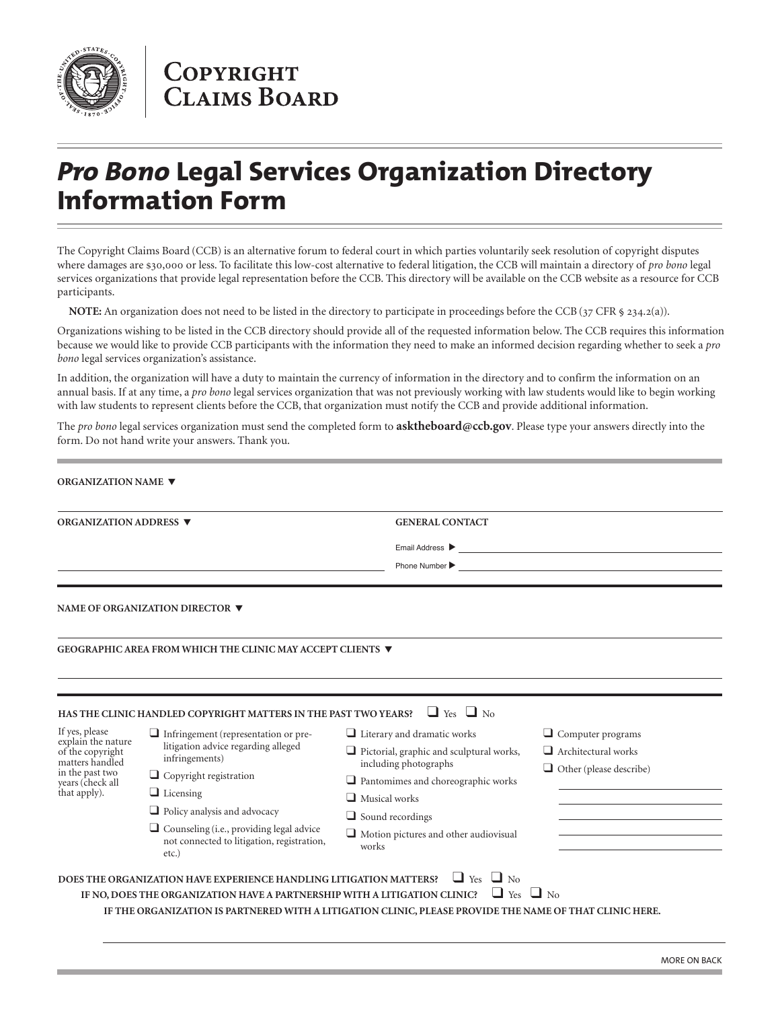

## **COPYRIGHT CLAIMS BOARD**

## *Pro Bono* **Legal Services Organization Directory Information Form**

The Copyright Claims Board (CCB) is an alternative forum to federal court in which parties voluntarily seek resolution of copyright disputes where damages are \$30,000 or less. To facilitate this low-cost alternative to federal litigation, the CCB will maintain a directory of *pro bono* legal services organizations that provide legal representation before the CCB. This directory will be available on the CCB website as a resource for CCB participants.

**NOTE:** An organization does not need to be listed in the directory to participate in proceedings before the CCB (37 CFR § 234.2(a)).

Organizations wishing to be listed in the CCB directory should provide all of the requested information below. The CCB requires this information because we would like to provide CCB participants with the information they need to make an informed decision regarding whether to seek a *pro bono* legal services organization's assistance.

In addition, the organization will have a duty to maintain the currency of information in the directory and to confirm the information on an annual basis. If at any time, a *pro bono* legal services organization that was not previously working with law students would like to begin working with law students to represent clients before the CCB, that organization must notify the CCB and provide additional information.

The *pro bono* legal services organization must send the completed form to **asktheboard@ccb.gov**. Please type your answers directly into the form. Do not hand write your answers. Thank you.

| ORGANIZATION ADDRESS ▼<br><b>GENERAL CONTACT</b><br><u> 1980 - Johann Barn, mars ann an t-Amhain Aonaich an t-Aonaich an t-Aonaich an t-Aonaich an t-Aonaich ann an t-</u><br>Email Address ▶<br><u> 1980 - Jan Sterlinger, fransk politiker (d. 1980)</u><br>Phone Number $\blacktriangleright$<br>the control of the control of the control of the control of the control of the control of the control of the control of the control of the control of the control of the control of the control of the control of the control<br>NAME OF ORGANIZATION DIRECTOR ▼<br>GEOGRAPHIC AREA FROM WHICH THE CLINIC MAY ACCEPT CLIENTS ▼<br>$\Box$ Yes $\Box$ No<br>HAS THE CLINIC HANDLED COPYRIGHT MATTERS IN THE PAST TWO YEARS?<br>If yes, please<br>$\Box$ Literary and dramatic works<br>$\Box$ Computer programs<br>Infringement (representation or pre-<br>explain the nature<br>litigation advice regarding alleged<br>$\Box$ Architectural works<br>$\Box$ Pictorial, graphic and sculptural works,<br>of the copyright<br>infringements)<br>matters handled<br>including photographs<br>in the past two<br>$\Box$ Copyright registration<br>$\Box$ Pantomimes and choreographic works<br>years (check all<br>that apply).<br>$\Box$ Licensing<br>$\Box$ Musical works<br>$\Box$ Policy analysis and advocacy<br>$\Box$ Sound recordings<br>$\Box$ Counseling (i.e., providing legal advice<br>$\Box$ Motion pictures and other audiovisual<br>not connected to litigation, registration,<br>works<br>$etc.$ )<br>$\Box$ Yes $\Box$ No<br>DOES THE ORGANIZATION HAVE EXPERIENCE HANDLING LITIGATION MATTERS?<br>$\Box$ Yes<br>$\Box$ No<br>IF NO, DOES THE ORGANIZATION HAVE A PARTNERSHIP WITH A LITIGATION CLINIC? | <b>ORGANIZATION NAME ▼</b> |  |  |                                |
|--------------------------------------------------------------------------------------------------------------------------------------------------------------------------------------------------------------------------------------------------------------------------------------------------------------------------------------------------------------------------------------------------------------------------------------------------------------------------------------------------------------------------------------------------------------------------------------------------------------------------------------------------------------------------------------------------------------------------------------------------------------------------------------------------------------------------------------------------------------------------------------------------------------------------------------------------------------------------------------------------------------------------------------------------------------------------------------------------------------------------------------------------------------------------------------------------------------------------------------------------------------------------------------------------------------------------------------------------------------------------------------------------------------------------------------------------------------------------------------------------------------------------------------------------------------------------------------------------------------------------------------------------------------------------------------------------------------------------|----------------------------|--|--|--------------------------------|
|                                                                                                                                                                                                                                                                                                                                                                                                                                                                                                                                                                                                                                                                                                                                                                                                                                                                                                                                                                                                                                                                                                                                                                                                                                                                                                                                                                                                                                                                                                                                                                                                                                                                                                                          |                            |  |  |                                |
|                                                                                                                                                                                                                                                                                                                                                                                                                                                                                                                                                                                                                                                                                                                                                                                                                                                                                                                                                                                                                                                                                                                                                                                                                                                                                                                                                                                                                                                                                                                                                                                                                                                                                                                          |                            |  |  |                                |
|                                                                                                                                                                                                                                                                                                                                                                                                                                                                                                                                                                                                                                                                                                                                                                                                                                                                                                                                                                                                                                                                                                                                                                                                                                                                                                                                                                                                                                                                                                                                                                                                                                                                                                                          |                            |  |  |                                |
|                                                                                                                                                                                                                                                                                                                                                                                                                                                                                                                                                                                                                                                                                                                                                                                                                                                                                                                                                                                                                                                                                                                                                                                                                                                                                                                                                                                                                                                                                                                                                                                                                                                                                                                          |                            |  |  |                                |
|                                                                                                                                                                                                                                                                                                                                                                                                                                                                                                                                                                                                                                                                                                                                                                                                                                                                                                                                                                                                                                                                                                                                                                                                                                                                                                                                                                                                                                                                                                                                                                                                                                                                                                                          |                            |  |  |                                |
|                                                                                                                                                                                                                                                                                                                                                                                                                                                                                                                                                                                                                                                                                                                                                                                                                                                                                                                                                                                                                                                                                                                                                                                                                                                                                                                                                                                                                                                                                                                                                                                                                                                                                                                          |                            |  |  |                                |
|                                                                                                                                                                                                                                                                                                                                                                                                                                                                                                                                                                                                                                                                                                                                                                                                                                                                                                                                                                                                                                                                                                                                                                                                                                                                                                                                                                                                                                                                                                                                                                                                                                                                                                                          |                            |  |  |                                |
|                                                                                                                                                                                                                                                                                                                                                                                                                                                                                                                                                                                                                                                                                                                                                                                                                                                                                                                                                                                                                                                                                                                                                                                                                                                                                                                                                                                                                                                                                                                                                                                                                                                                                                                          |                            |  |  |                                |
|                                                                                                                                                                                                                                                                                                                                                                                                                                                                                                                                                                                                                                                                                                                                                                                                                                                                                                                                                                                                                                                                                                                                                                                                                                                                                                                                                                                                                                                                                                                                                                                                                                                                                                                          |                            |  |  |                                |
|                                                                                                                                                                                                                                                                                                                                                                                                                                                                                                                                                                                                                                                                                                                                                                                                                                                                                                                                                                                                                                                                                                                                                                                                                                                                                                                                                                                                                                                                                                                                                                                                                                                                                                                          |                            |  |  |                                |
|                                                                                                                                                                                                                                                                                                                                                                                                                                                                                                                                                                                                                                                                                                                                                                                                                                                                                                                                                                                                                                                                                                                                                                                                                                                                                                                                                                                                                                                                                                                                                                                                                                                                                                                          |                            |  |  |                                |
|                                                                                                                                                                                                                                                                                                                                                                                                                                                                                                                                                                                                                                                                                                                                                                                                                                                                                                                                                                                                                                                                                                                                                                                                                                                                                                                                                                                                                                                                                                                                                                                                                                                                                                                          |                            |  |  |                                |
|                                                                                                                                                                                                                                                                                                                                                                                                                                                                                                                                                                                                                                                                                                                                                                                                                                                                                                                                                                                                                                                                                                                                                                                                                                                                                                                                                                                                                                                                                                                                                                                                                                                                                                                          |                            |  |  |                                |
|                                                                                                                                                                                                                                                                                                                                                                                                                                                                                                                                                                                                                                                                                                                                                                                                                                                                                                                                                                                                                                                                                                                                                                                                                                                                                                                                                                                                                                                                                                                                                                                                                                                                                                                          |                            |  |  | $\Box$ Other (please describe) |
|                                                                                                                                                                                                                                                                                                                                                                                                                                                                                                                                                                                                                                                                                                                                                                                                                                                                                                                                                                                                                                                                                                                                                                                                                                                                                                                                                                                                                                                                                                                                                                                                                                                                                                                          |                            |  |  |                                |
|                                                                                                                                                                                                                                                                                                                                                                                                                                                                                                                                                                                                                                                                                                                                                                                                                                                                                                                                                                                                                                                                                                                                                                                                                                                                                                                                                                                                                                                                                                                                                                                                                                                                                                                          |                            |  |  |                                |
|                                                                                                                                                                                                                                                                                                                                                                                                                                                                                                                                                                                                                                                                                                                                                                                                                                                                                                                                                                                                                                                                                                                                                                                                                                                                                                                                                                                                                                                                                                                                                                                                                                                                                                                          |                            |  |  |                                |
|                                                                                                                                                                                                                                                                                                                                                                                                                                                                                                                                                                                                                                                                                                                                                                                                                                                                                                                                                                                                                                                                                                                                                                                                                                                                                                                                                                                                                                                                                                                                                                                                                                                                                                                          |                            |  |  |                                |
|                                                                                                                                                                                                                                                                                                                                                                                                                                                                                                                                                                                                                                                                                                                                                                                                                                                                                                                                                                                                                                                                                                                                                                                                                                                                                                                                                                                                                                                                                                                                                                                                                                                                                                                          |                            |  |  |                                |
|                                                                                                                                                                                                                                                                                                                                                                                                                                                                                                                                                                                                                                                                                                                                                                                                                                                                                                                                                                                                                                                                                                                                                                                                                                                                                                                                                                                                                                                                                                                                                                                                                                                                                                                          |                            |  |  |                                |
|                                                                                                                                                                                                                                                                                                                                                                                                                                                                                                                                                                                                                                                                                                                                                                                                                                                                                                                                                                                                                                                                                                                                                                                                                                                                                                                                                                                                                                                                                                                                                                                                                                                                                                                          |                            |  |  |                                |
| IF THE ORGANIZATION IS PARTNERED WITH A LITIGATION CLINIC, PLEASE PROVIDE THE NAME OF THAT CLINIC HERE.                                                                                                                                                                                                                                                                                                                                                                                                                                                                                                                                                                                                                                                                                                                                                                                                                                                                                                                                                                                                                                                                                                                                                                                                                                                                                                                                                                                                                                                                                                                                                                                                                  |                            |  |  |                                |